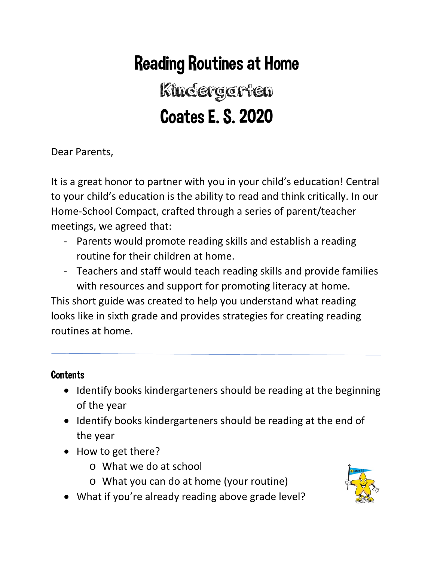# Reading Routines at Home

# Kindergarten Coates E. S. 2020

Dear Parents,

It is a great honor to partner with you in your child's education! Central to your child's education is the ability to read and think critically. In our Home-School Compact, crafted through a series of parent/teacher meetings, we agreed that:

- Parents would promote reading skills and establish a reading routine for their children at home.
- Teachers and staff would teach reading skills and provide families with resources and support for promoting literacy at home.

This short guide was created to help you understand what reading looks like in sixth grade and provides strategies for creating reading routines at home.

# **Contents**

- Identify books kindergarteners should be reading at the beginning of the year
- Identify books kindergarteners should be reading at the end of the year
- How to get there?
	- o What we do at school
	- o What you can do at home (your routine)
- What if you're already reading above grade level?

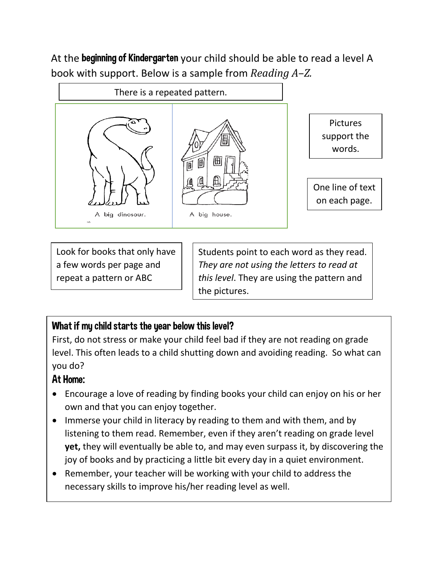At the beginning of Kindergarten your child should be able to read a level A book with support. Below is a sample from *Reading A–Z.*



Look for books that only have a few words per page and repeat a pattern or ABC

Students point to each word as they read. *They are not using the letters to read at this level*. They are using the pattern and the pictures.

# What if my child starts the year below this level?

First, do not stress or make your child feel bad if they are not reading on grade level. This often leads to a child shutting down and avoiding reading. So what can you do?

# At Home:

- Encourage a love of reading by finding books your child can enjoy on his or her own and that you can enjoy together.
- Immerse your child in literacy by reading to them and with them, and by listening to them read. Remember, even if they aren't reading on grade level **yet,** they will eventually be able to, and may even surpass it, by discovering the joy of books and by practicing a little bit every day in a quiet environment.
- Remember, your teacher will be working with your child to address the necessary skills to improve his/her reading level as well.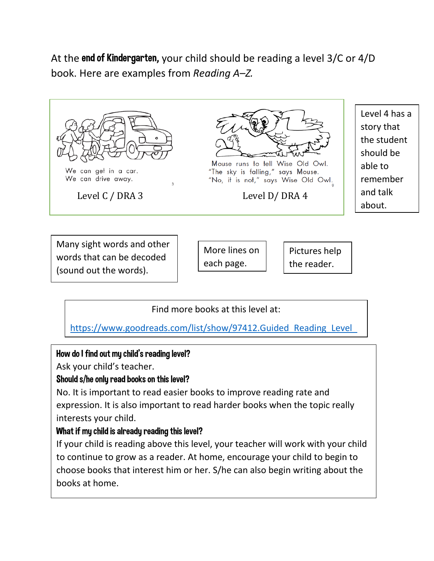At the end of Kindergarten**,** your child should be reading a level 3/C or 4/D book. Here are examples from *Reading A–Z.*



words that can be decoded (sound out the words).

each page.

the reader.

Find more books at this level at:

https://www.goodreads.com/list/show/97412.Guided Reading Level

### Ho[w do](https://www.goodreads.com/list/show/97412.Guided_Reading_Level_D) I find out my child's reading level?

Ask your child's teacher.

### Should s/he only read books on this level?

No. It is important to read easier books to improve reading rate and expression. It is also important to read harder books when the topic really interests your child.

### What if my child is already reading this level?

If your child is reading above this level, your teacher will work with your child to continue to grow as a reader. At home, encourage your child to begin to choose books that interest him or her. S/he can also begin writing about the books at home.